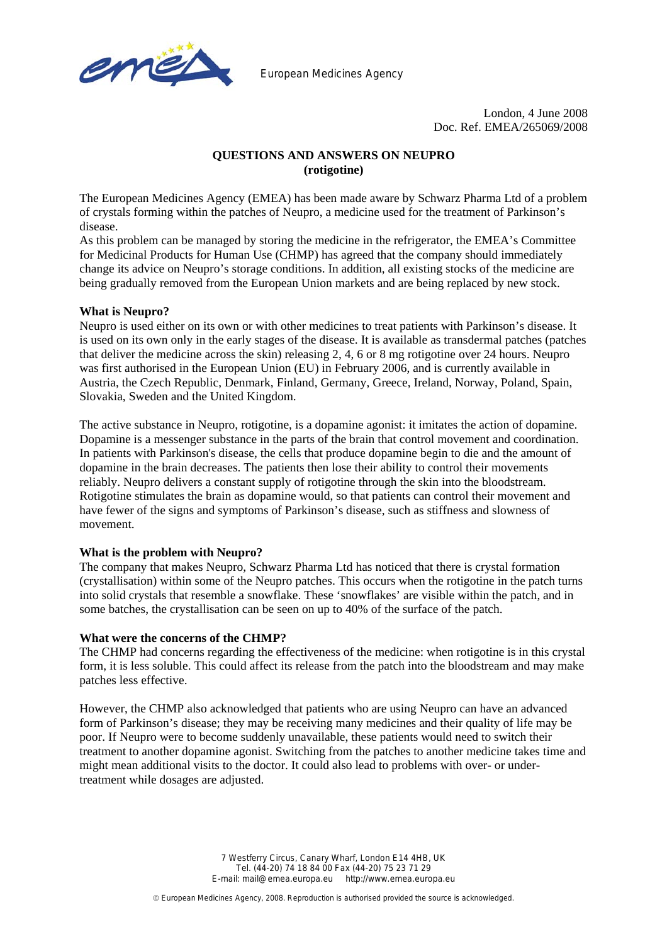

European Medicines Agency

London, 4 June 2008 Doc. Ref. EMEA/265069/2008

# **QUESTIONS AND ANSWERS ON NEUPRO (rotigotine)**

The European Medicines Agency (EMEA) has been made aware by Schwarz Pharma Ltd of a problem of crystals forming within the patches of Neupro, a medicine used for the treatment of Parkinson's disease.

As this problem can be managed by storing the medicine in the refrigerator, the EMEA's Committee for Medicinal Products for Human Use (CHMP) has agreed that the company should immediately change its advice on Neupro's storage conditions. In addition, all existing stocks of the medicine are being gradually removed from the European Union markets and are being replaced by new stock.

## **What is Neupro?**

Neupro is used either on its own or with other medicines to treat patients with Parkinson's disease. It is used on its own only in the early stages of the disease. It is available as transdermal patches (patches that deliver the medicine across the skin) releasing 2, 4, 6 or 8 mg rotigotine over 24 hours. Neupro was first authorised in the European Union (EU) in February 2006, and is currently available in Austria, the Czech Republic, Denmark, Finland, Germany, Greece, Ireland, Norway, Poland, Spain, Slovakia, Sweden and the United Kingdom.

The active substance in Neupro, rotigotine, is a dopamine agonist: it imitates the action of dopamine. Dopamine is a messenger substance in the parts of the brain that control movement and coordination. In patients with Parkinson's disease, the cells that produce dopamine begin to die and the amount of dopamine in the brain decreases. The patients then lose their ability to control their movements reliably. Neupro delivers a constant supply of rotigotine through the skin into the bloodstream. Rotigotine stimulates the brain as dopamine would, so that patients can control their movement and have fewer of the signs and symptoms of Parkinson's disease, such as stiffness and slowness of movement.

## **What is the problem with Neupro?**

The company that makes Neupro, Schwarz Pharma Ltd has noticed that there is crystal formation (crystallisation) within some of the Neupro patches. This occurs when the rotigotine in the patch turns into solid crystals that resemble a snowflake. These 'snowflakes' are visible within the patch, and in some batches, the crystallisation can be seen on up to 40% of the surface of the patch.

#### **What were the concerns of the CHMP?**

The CHMP had concerns regarding the effectiveness of the medicine: when rotigotine is in this crystal form, it is less soluble. This could affect its release from the patch into the bloodstream and may make patches less effective.

However, the CHMP also acknowledged that patients who are using Neupro can have an advanced form of Parkinson's disease; they may be receiving many medicines and their quality of life may be poor. If Neupro were to become suddenly unavailable, these patients would need to switch their treatment to another dopamine agonist. Switching from the patches to another medicine takes time and might mean additional visits to the doctor. It could also lead to problems with over- or undertreatment while dosages are adjusted.

> 7 Westferry Circus, Canary Wharf, London E14 4HB, UK Tel. (44-20) 74 18 84 00 Fax (44-20) 75 23 71 29 E-mail: mail@emea.europa.eu http://www.emea.europa.eu